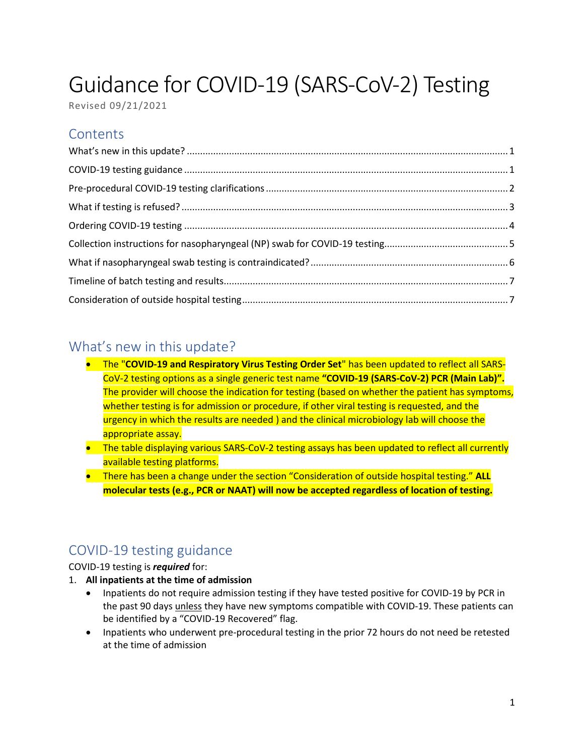# Guidance for COVID-19 (SARS-CoV-2) Testing

Revised 09/21/2021

## **Contents**

#### <span id="page-0-0"></span>What's new in this update?

- The "**COVID-19 and Respiratory Virus Testing Order Set**" has been updated to reflect all SARS-CoV-2 testing options as a single generic test name **"COVID-19 (SARS-CoV-2) PCR (Main Lab)".**  The provider will choose the indication for testing (based on whether the patient has symptoms, whether testing is for admission or procedure, if other viral testing is requested, and the urgency in which the results are needed) and the clinical microbiology lab will choose the appropriate assay.
- The table displaying various SARS-CoV-2 testing assays has been updated to reflect all currently available testing platforms.
- There has been a change under the section "Consideration of outside hospital testing." **ALL molecular tests (e.g., PCR or NAAT) will now be accepted regardless of location of testing.**

# <span id="page-0-1"></span>COVID-19 testing guidance

#### COVID-19 testing is *required* for:

- 1. **All inpatients at the time of admission**
	- Inpatients do not require admission testing if they have tested positive for COVID-19 by PCR in the past 90 days unless they have new symptoms compatible with COVID-19. These patients can be identified by a "COVID-19 Recovered" flag.
	- Inpatients who underwent pre-procedural testing in the prior 72 hours do not need be retested at the time of admission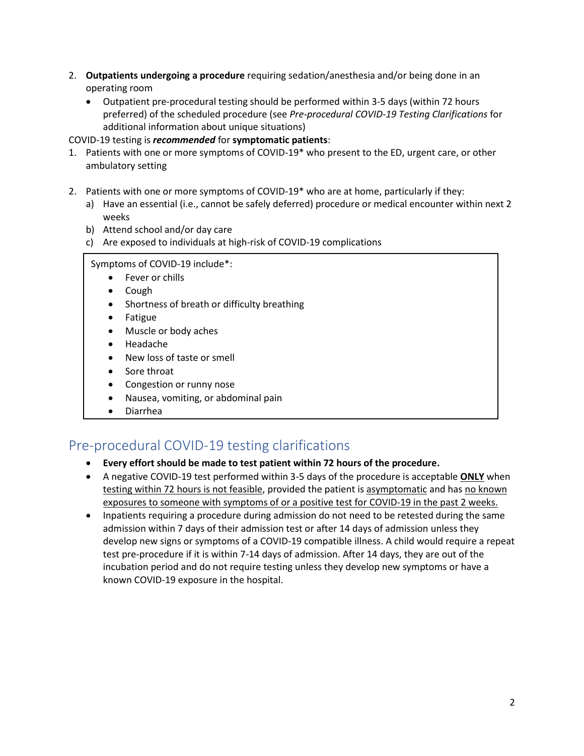- 2. **Outpatients undergoing a procedure** requiring sedation/anesthesia and/or being done in an operating room
	- Outpatient pre-procedural testing should be performed within 3-5 days (within 72 hours preferred) of the scheduled procedure (see *Pre-procedural COVID-19 Testing Clarifications* for additional information about unique situations)

#### COVID-19 testing is *recommended* for **symptomatic patients**:

- 1. Patients with one or more symptoms of COVID-19\* who present to the ED, urgent care, or other ambulatory setting
- 2. Patients with one or more symptoms of COVID-19\* who are at home, particularly if they:
	- a) Have an essential (i.e., cannot be safely deferred) procedure or medical encounter within next 2 weeks
	- b) Attend school and/or day care
	- c) Are exposed to individuals at high-risk of COVID-19 complications

#### Symptoms of COVID-19 include\*:

- Fever or chills
- Cough
- Shortness of breath or difficulty breathing
- Fatigue
- Muscle or body aches
- Headache
- New loss of taste or smell
- Sore throat
- Congestion or runny nose
- Nausea, vomiting, or abdominal pain
- Diarrhea

#### <span id="page-1-0"></span>Pre-procedural COVID-19 testing clarifications

#### • **Every effort should be made to test patient within 72 hours of the procedure.**

- A negative COVID-19 test performed within 3-5 days of the procedure is acceptable **ONLY** when testing within 72 hours is not feasible, provided the patient is asymptomatic and has no known exposures to someone with symptoms of or a positive test for COVID-19 in the past 2 weeks.
- Inpatients requiring a procedure during admission do not need to be retested during the same admission within 7 days of their admission test or after 14 days of admission unless they develop new signs or symptoms of a COVID-19 compatible illness. A child would require a repeat test pre-procedure if it is within 7-14 days of admission. After 14 days, they are out of the incubation period and do not require testing unless they develop new symptoms or have a known COVID-19 exposure in the hospital.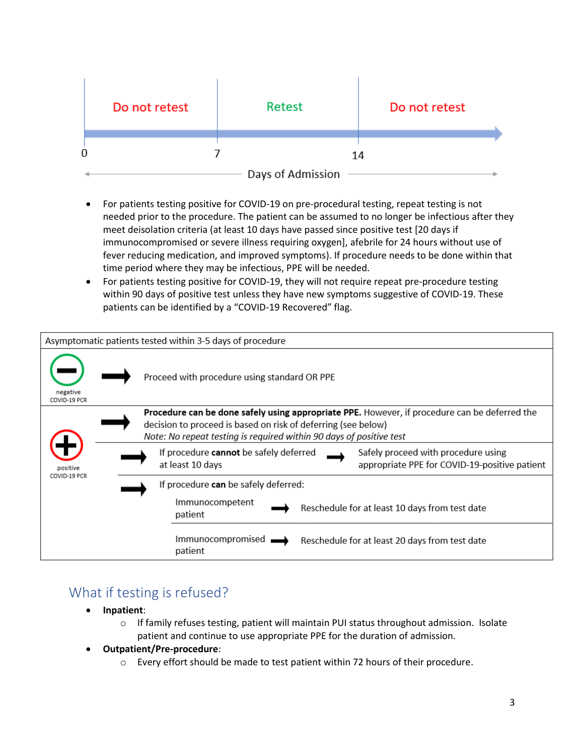|   | Do not retest | Retest            |    | Do not retest |  |
|---|---------------|-------------------|----|---------------|--|
|   |               |                   |    |               |  |
| 0 |               |                   | 14 |               |  |
|   |               | Days of Admission |    |               |  |

- For patients testing positive for COVID-19 on pre-procedural testing, repeat testing is not needed prior to the procedure. The patient can be assumed to no longer be infectious after they meet deisolation criteria (at least 10 days have passed since positive test [20 days if immunocompromised or severe illness requiring oxygen], afebrile for 24 hours without use of fever reducing medication, and improved symptoms). If procedure needs to be done within that time period where they may be infectious, PPE will be needed.
- For patients testing positive for COVID-19, they will not require repeat pre-procedure testing within 90 days of positive test unless they have new symptoms suggestive of COVID-19. These patients can be identified by a "COVID-19 Recovered" flag.



#### <span id="page-2-0"></span>What if testing is refused?

- **Inpatient**:
	- o If family refuses testing, patient will maintain PUI status throughout admission. Isolate patient and continue to use appropriate PPE for the duration of admission.
- **Outpatient/Pre-procedure**:
	- o Every effort should be made to test patient within 72 hours of their procedure.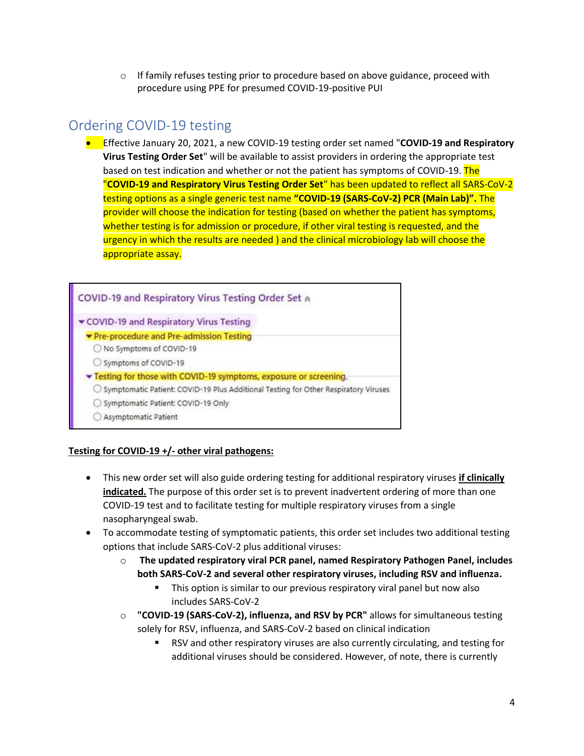$\circ$  If family refuses testing prior to procedure based on above guidance, proceed with procedure using PPE for presumed COVID-19-positive PUI

# <span id="page-3-0"></span>Ordering COVID-19 testing

• Effective January 20, 2021, a new COVID-19 testing order set named "**COVID-19 and Respiratory Virus Testing Order Set**" will be available to assist providers in ordering the appropriate test based on test indication and whether or not the patient has symptoms of COVID-19. The "**COVID-19 and Respiratory Virus Testing Order Set**" has been updated to reflect all SARS-CoV-2 testing options as a single generic test name **"COVID-19 (SARS-CoV-2) PCR (Main Lab)".** The provider will choose the indication for testing (based on whether the patient has symptoms, whether testing is for admission or procedure, if other viral testing is requested, and the urgency in which the results are needed ) and the clinical microbiology lab will choose the appropriate assay.



#### **Testing for COVID-19 +/- other viral pathogens:**

- This new order set will also guide ordering testing for additional respiratory viruses **if clinically indicated.** The purpose of this order set is to prevent inadvertent ordering of more than one COVID-19 test and to facilitate testing for multiple respiratory viruses from a single nasopharyngeal swab.
- To accommodate testing of symptomatic patients, this order set includes two additional testing options that include SARS-CoV-2 plus additional viruses:
	- o **The updated respiratory viral PCR panel, named Respiratory Pathogen Panel, includes both SARS-CoV-2 and several other respiratory viruses, including RSV and influenza.**
		- This option is similar to our previous respiratory viral panel but now also includes SARS-CoV-2
	- o **"COVID-19 (SARS-CoV-2), influenza, and RSV by PCR"** allows for simultaneous testing solely for RSV, influenza, and SARS-CoV-2 based on clinical indication
		- RSV and other respiratory viruses are also currently circulating, and testing for additional viruses should be considered. However, of note, there is currently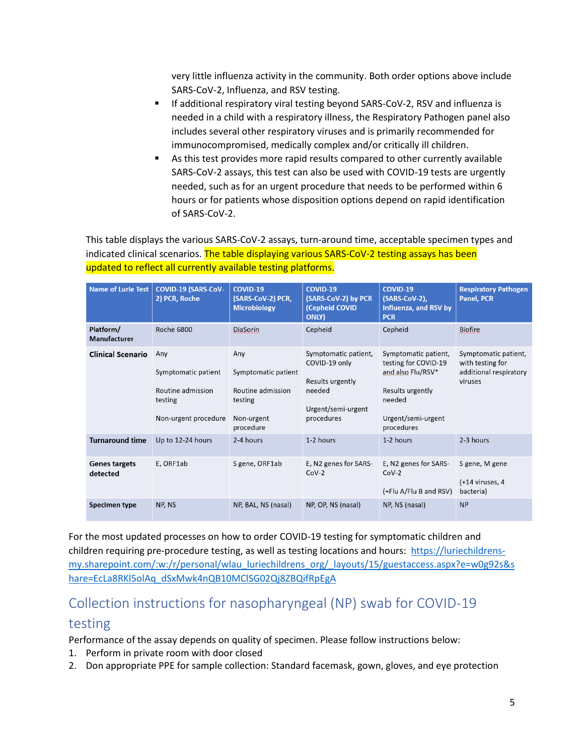very little influenza activity in the community. Both order options above include SARS-CoV-2, Influenza, and RSV testing.

- If additional respiratory viral testing beyond SARS-CoV-2, RSV and influenza is needed in a child with a respiratory illness, the Respiratory Pathogen panel also includes several other respiratory viruses and is primarily recommended for immunocompromised, medically complex and/or critically ill children.
- As this test provides more rapid results compared to other currently available SARS-CoV-2 assays, this test can also be used with COVID-19 tests are urgently needed, such as for an urgent procedure that needs to be performed within 6 hours or for patients whose disposition options depend on rapid identification of SARS-CoV-2.

This table displays the various SARS-CoV-2 assays, turn-around time, acceptable specimen types and indicated clinical scenarios. The table displaying various SARS-CoV-2 testing assays has been updated to reflect all currently available testing platforms.

| <b>Name of Lurie Test</b>        | <b>COVID-19 (SARS-CoV-</b><br>2) PCR, Roche                                        | <b>COVID-19</b><br>(SARS-CoV-2) PCR,<br><b>Microbiology</b>                           | COVID-19<br>(SARS-CoV-2) by PCR<br>(Cepheid COVID<br><b>ONLY)</b>                                       | COVID-19<br>(SARS-CoV-2),<br>Influenza, and RSV by<br><b>PCR</b>                                                                    | <b>Respiratory Pathogen</b><br><b>Panel, PCR</b>                              |
|----------------------------------|------------------------------------------------------------------------------------|---------------------------------------------------------------------------------------|---------------------------------------------------------------------------------------------------------|-------------------------------------------------------------------------------------------------------------------------------------|-------------------------------------------------------------------------------|
| Platform/<br>Manufacturer        | <b>Roche 6800</b>                                                                  | <b>DiaSorin</b>                                                                       | Cepheid                                                                                                 | Cepheid                                                                                                                             | <b>Biofire</b>                                                                |
| <b>Clinical Scenario</b>         | Any<br>Symptomatic patient<br>Routine admission<br>testing<br>Non-urgent procedure | Any<br>Symptomatic patient<br>Routine admission<br>testing<br>Non-urgent<br>procedure | Symptomatic patient,<br>COVID-19 only<br>Results urgently<br>needed<br>Urgent/semi-urgent<br>procedures | Symptomatic patient,<br>testing for COVID-19<br>and also Flu/RSV*<br>Results urgently<br>needed<br>Urgent/semi-urgent<br>procedures | Symptomatic patient,<br>with testing for<br>additional respiratory<br>viruses |
| <b>Turnaround time</b>           | Up to 12-24 hours                                                                  | 2-4 hours                                                                             | 1-2 hours                                                                                               | 1-2 hours                                                                                                                           | 2-3 hours                                                                     |
| <b>Genes targets</b><br>detected | E, ORF1ab                                                                          | S gene, ORF1ab                                                                        | E, N2 genes for SARS-<br>$CoV-2$                                                                        | E, N2 genes for SARS-<br>$CoV-2$<br>(+Flu A/Flu B and RSV)                                                                          | S gene, M gene<br>(+14 viruses, 4<br>bacteria)                                |
| Specimen type                    | NP, NS                                                                             | NP, BAL, NS (nasal)                                                                   | NP, OP, NS (nasal)                                                                                      | NP, NS (nasal)                                                                                                                      | <b>NP</b>                                                                     |

For the most updated processes on how to order COVID-19 testing for symptomatic children and children requiring pre-procedure testing, as well as testing locations and hours: [https://luriechildrens](https://luriechildrens-my.sharepoint.com/:w:/r/personal/wlau_luriechildrens_org/_layouts/15/guestaccess.aspx?e=w0g92s&share=EcLa8RKl5olAq_dSxMwk4nQB10MClSG02Qj8ZBQifRpEgA)[my.sharepoint.com/:w:/r/personal/wlau\\_luriechildrens\\_org/\\_layouts/15/guestaccess.aspx?e=w0g92s&s](https://luriechildrens-my.sharepoint.com/:w:/r/personal/wlau_luriechildrens_org/_layouts/15/guestaccess.aspx?e=w0g92s&share=EcLa8RKl5olAq_dSxMwk4nQB10MClSG02Qj8ZBQifRpEgA) [hare=EcLa8RKl5olAq\\_dSxMwk4nQB10MClSG02Qj8ZBQifRpEgA](https://luriechildrens-my.sharepoint.com/:w:/r/personal/wlau_luriechildrens_org/_layouts/15/guestaccess.aspx?e=w0g92s&share=EcLa8RKl5olAq_dSxMwk4nQB10MClSG02Qj8ZBQifRpEgA)

# <span id="page-4-0"></span>Collection instructions for nasopharyngeal (NP) swab for COVID-19 testing

Performance of the assay depends on quality of specimen. Please follow instructions below:

- 1. Perform in private room with door closed
- 2. Don appropriate PPE for sample collection: Standard facemask, gown, gloves, and eye protection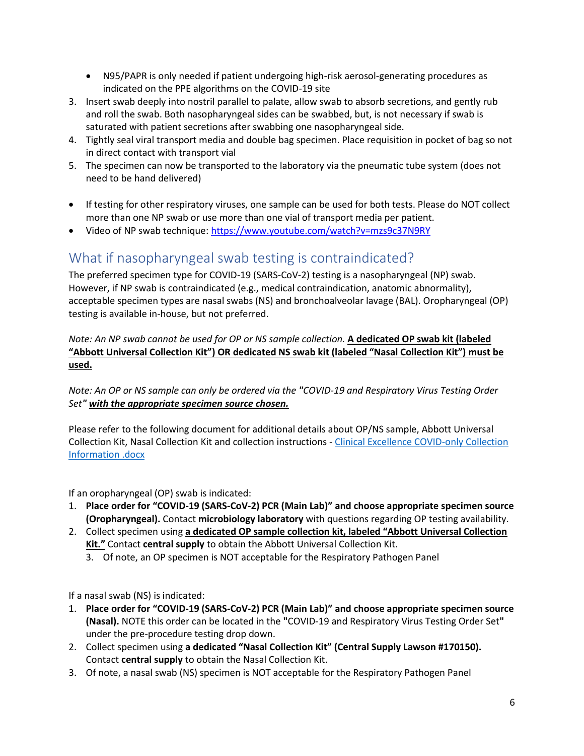- N95/PAPR is only needed if patient undergoing high-risk aerosol-generating procedures as indicated on the PPE algorithms on the COVID-19 site
- 3. Insert swab deeply into nostril parallel to palate, allow swab to absorb secretions, and gently rub and roll the swab. Both nasopharyngeal sides can be swabbed, but, is not necessary if swab is saturated with patient secretions after swabbing one nasopharyngeal side.
- 4. Tightly seal viral transport media and double bag specimen. Place requisition in pocket of bag so not in direct contact with transport vial
- 5. The specimen can now be transported to the laboratory via the pneumatic tube system (does not need to be hand delivered)
- If testing for other respiratory viruses, one sample can be used for both tests. Please do NOT collect more than one NP swab or use more than one vial of transport media per patient.
- Video of NP swab technique:<https://www.youtube.com/watch?v=mzs9c37N9RY>

#### <span id="page-5-0"></span>What if nasopharyngeal swab testing is contraindicated?

The preferred specimen type for COVID-19 (SARS-CoV-2) testing is a nasopharyngeal (NP) swab. However, if NP swab is contraindicated (e.g., medical contraindication, anatomic abnormality), acceptable specimen types are nasal swabs (NS) and bronchoalveolar lavage (BAL). Oropharyngeal (OP) testing is available in-house, but not preferred.

*Note: An NP swab cannot be used for OP or NS sample collection.* **A dedicated OP swab kit (labeled "Abbott Universal Collection Kit") OR dedicated NS swab kit (labeled "Nasal Collection Kit") must be used.**

*Note: An OP or NS sample can only be ordered via the "COVID-19 and Respiratory Virus Testing Order Set" with the appropriate specimen source chosen.*

Please refer to the following document for additional details about OP/NS sample, Abbott Universal Collection Kit, Nasal Collection Kit and collection instructions - [Clinical Excellence COVID-only](http://portal2/Lists/Global/Attachments/28669/Clinical%20Excellence%20COVID-only_Collectio%20Information%20.docx) Collection [Information .docx](http://portal2/Lists/Global/Attachments/28669/Clinical%20Excellence%20COVID-only_Collectio%20Information%20.docx)

If an oropharyngeal (OP) swab is indicated:

- 1. **Place order for "COVID-19 (SARS-CoV-2) PCR (Main Lab)" and choose appropriate specimen source (Oropharyngeal).** Contact **microbiology laboratory** with questions regarding OP testing availability.
- 2. Collect specimen using **a dedicated OP sample collection kit, labeled "Abbott Universal Collection Kit."** Contact **central supply** to obtain the Abbott Universal Collection Kit.
	- 3. Of note, an OP specimen is NOT acceptable for the Respiratory Pathogen Panel

If a nasal swab (NS) is indicated:

- 1. **Place order for "COVID-19 (SARS-CoV-2) PCR (Main Lab)" and choose appropriate specimen source (Nasal).** NOTE this order can be located in the **"**COVID-19 and Respiratory Virus Testing Order Set**"**  under the pre-procedure testing drop down.
- 2. Collect specimen using **a dedicated "Nasal Collection Kit" (Central Supply Lawson #170150).** Contact **central supply** to obtain the Nasal Collection Kit.
- 3. Of note, a nasal swab (NS) specimen is NOT acceptable for the Respiratory Pathogen Panel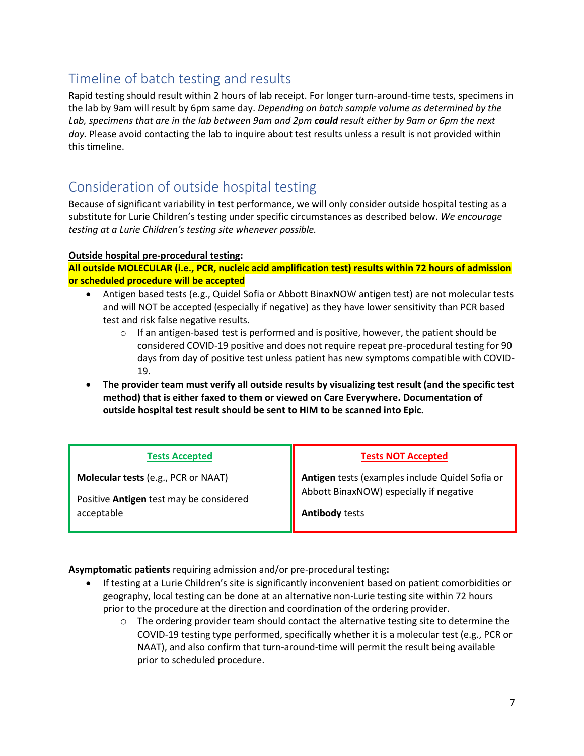# <span id="page-6-0"></span>Timeline of batch testing and results

Rapid testing should result within 2 hours of lab receipt. For longer turn-around-time tests, specimens in the lab by 9am will result by 6pm same day. *Depending on batch sample volume as determined by the Lab, specimens that are in the lab between 9am and 2pm could result either by 9am or 6pm the next*  day. Please avoid contacting the lab to inquire about test results unless a result is not provided within this timeline.

## <span id="page-6-1"></span>Consideration of outside hospital testing

Because of significant variability in test performance, we will only consider outside hospital testing as a substitute for Lurie Children's testing under specific circumstances as described below. *We encourage testing at a Lurie Children's testing site whenever possible.*

#### **Outside hospital pre-procedural testing:**

**All outside MOLECULAR (i.e., PCR, nucleic acid amplification test) results within 72 hours of admission or scheduled procedure will be accepted**

- Antigen based tests (e.g., Quidel Sofia or Abbott BinaxNOW antigen test) are not molecular tests and will NOT be accepted (especially if negative) as they have lower sensitivity than PCR based test and risk false negative results.
	- $\circ$  If an antigen-based test is performed and is positive, however, the patient should be considered COVID-19 positive and does not require repeat pre-procedural testing for 90 days from day of positive test unless patient has new symptoms compatible with COVID-19.
- **The provider team must verify all outside results by visualizing test result (and the specific test method) that is either faxed to them or viewed on Care Everywhere. Documentation of outside hospital test result should be sent to HIM to be scanned into Epic.**

| <b>Tests Accepted</b>                      | <b>Tests NOT Accepted</b>                       |
|--------------------------------------------|-------------------------------------------------|
| <b>Molecular tests (e.g., PCR or NAAT)</b> | Antigen tests (examples include Quidel Sofia or |
| Positive Antigen test may be considered    | Abbott BinaxNOW) especially if negative         |
| acceptable                                 | <b>Antibody tests</b>                           |

**Asymptomatic patients** requiring admission and/or pre-procedural testing**:**

- If testing at a Lurie Children's site is significantly inconvenient based on patient comorbidities or geography, local testing can be done at an alternative non-Lurie testing site within 72 hours prior to the procedure at the direction and coordination of the ordering provider.
	- $\circ$  The ordering provider team should contact the alternative testing site to determine the COVID-19 testing type performed, specifically whether it is a molecular test (e.g., PCR or NAAT), and also confirm that turn-around-time will permit the result being available prior to scheduled procedure.